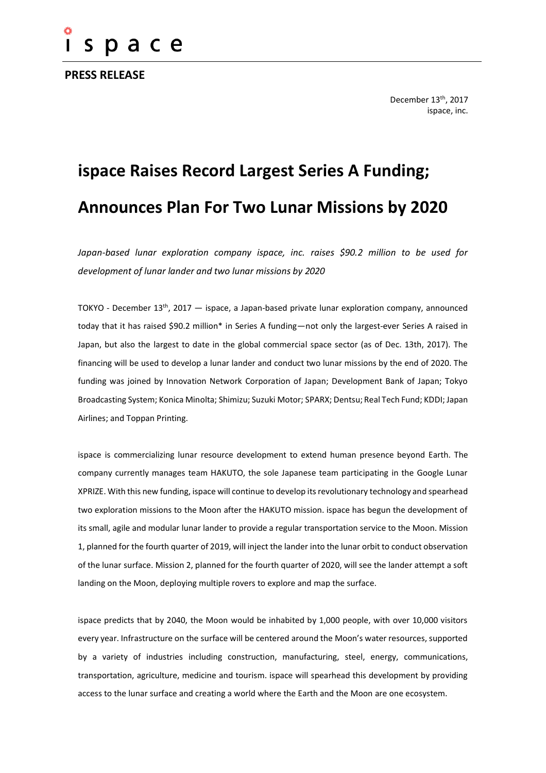

**PRESS RELEASE**

December 13<sup>th</sup>, 2017 ispace, inc.

# **ispace Raises Record Largest Series A Funding; Announces Plan For Two Lunar Missions by 2020**

*Japan-based lunar exploration company ispace, inc. raises \$90.2 million to be used for development of lunar lander and two lunar missions by 2020*

TOKYO - December 13th, 2017 — ispace, a Japan-based private lunar exploration company, announced today that it has raised \$90.2 million\* in Series A funding—not only the largest-ever Series A raised in Japan, but also the largest to date in the global commercial space sector (as of Dec. 13th, 2017). The financing will be used to develop a lunar lander and conduct two lunar missions by the end of 2020. The funding was joined by Innovation Network Corporation of Japan; Development Bank of Japan; Tokyo Broadcasting System; Konica Minolta; Shimizu; Suzuki Motor; SPARX; Dentsu; Real Tech Fund; KDDI; Japan Airlines; and Toppan Printing.

ispace is commercializing lunar resource development to extend human presence beyond Earth. The company currently manages team HAKUTO, the sole Japanese team participating in the Google Lunar XPRIZE. With this new funding, ispace will continue to develop its revolutionary technology and spearhead two exploration missions to the Moon after the HAKUTO mission. ispace has begun the development of its small, agile and modular lunar lander to provide a regular transportation service to the Moon. Mission 1, planned for the fourth quarter of 2019, will inject the lander into the lunar orbit to conduct observation of the lunar surface. Mission 2, planned for the fourth quarter of 2020, will see the lander attempt a soft landing on the Moon, deploying multiple rovers to explore and map the surface.

ispace predicts that by 2040, the Moon would be inhabited by 1,000 people, with over 10,000 visitors every year. Infrastructure on the surface will be centered around the Moon's water resources, supported by a variety of industries including construction, manufacturing, steel, energy, communications, transportation, agriculture, medicine and tourism. ispace will spearhead this development by providing access to the lunar surface and creating a world where the Earth and the Moon are one ecosystem.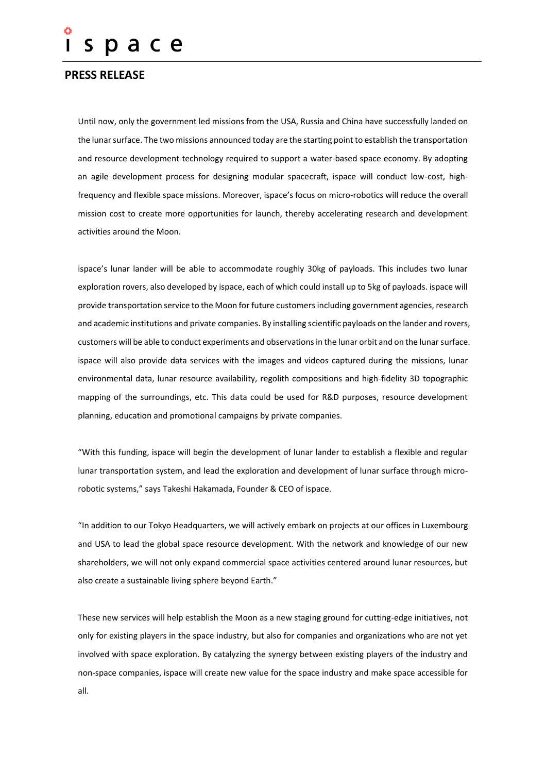## pace S.

### **PRESS RELEASE**

Until now, only the government led missions from the USA, Russia and China have successfully landed on the lunar surface. The two missions announced today are the starting point to establish the transportation and resource development technology required to support a water-based space economy. By adopting an agile development process for designing modular spacecraft, ispace will conduct low-cost, highfrequency and flexible space missions. Moreover, ispace's focus on micro-robotics will reduce the overall mission cost to create more opportunities for launch, thereby accelerating research and development activities around the Moon.

ispace's lunar lander will be able to accommodate roughly 30kg of payloads. This includes two lunar exploration rovers, also developed by ispace, each of which could install up to 5kg of payloads. ispace will provide transportation service to the Moon for future customers including government agencies, research and academic institutions and private companies. By installing scientific payloads on the lander and rovers, customers will be able to conduct experiments and observations in the lunar orbit and on the lunar surface. ispace will also provide data services with the images and videos captured during the missions, lunar environmental data, lunar resource availability, regolith compositions and high-fidelity 3D topographic mapping of the surroundings, etc. This data could be used for R&D purposes, resource development planning, education and promotional campaigns by private companies.

"With this funding, ispace will begin the development of lunar lander to establish a flexible and regular lunar transportation system, and lead the exploration and development of lunar surface through microrobotic systems," says Takeshi Hakamada, Founder & CEO of ispace.

"In addition to our Tokyo Headquarters, we will actively embark on projects at our offices in Luxembourg and USA to lead the global space resource development. With the network and knowledge of our new shareholders, we will not only expand commercial space activities centered around lunar resources, but also create a sustainable living sphere beyond Earth."

These new services will help establish the Moon as a new staging ground for cutting-edge initiatives, not only for existing players in the space industry, but also for companies and organizations who are not yet involved with space exploration. By catalyzing the synergy between existing players of the industry and non-space companies, ispace will create new value for the space industry and make space accessible for all.